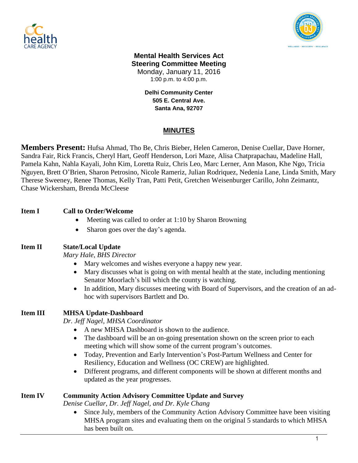



#### **Mental Health Services Act Steering Committee Meeting** Monday, January 11, 2016 1:00 p.m. to 4:00 p.m.

**Delhi Community Center 505 E. Central Ave. Santa Ana, 92707**

# **MINUTES**

**Members Present:** Hufsa Ahmad, Tho Be, Chris Bieber, Helen Cameron, Denise Cuellar, Dave Horner, Sandra Fair, Rick Francis, Cheryl Hart, Geoff Henderson, Lori Maze, Alisa Chatprapachau, Madeline Hall, Pamela Kahn, Nahla Kayali, John Kim, Loretta Ruiz, Chris Leo, Marc Lerner, Ann Mason, Khe Ngo, Tricia Nguyen, Brett O'Brien, Sharon Petrosino, Nicole Rameriz, Julian Rodriquez, Nedenia Lane, Linda Smith, Mary Therese Sweeney, Renee Thomas, Kelly Tran, Patti Petit, Gretchen Weisenburger Carillo, John Zeimantz, Chase Wickersham, Brenda McCleese

## **Item I Call to Order/Welcome**

- Meeting was called to order at 1:10 by Sharon Browning
- Sharon goes over the day's agenda.

## **Item II State/Local Update**

*Mary Hale, BHS Director*

- Mary welcomes and wishes everyone a happy new year.
- Mary discusses what is going on with mental health at the state, including mentioning Senator Moorlach's bill which the county is watching.
- In addition, Mary discusses meeting with Board of Supervisors, and the creation of an adhoc with supervisors Bartlett and Do.

## **Item III MHSA Update-Dashboard**

*Dr. Jeff Nagel, MHSA Coordinator*

- A new MHSA Dashboard is shown to the audience.
- The dashboard will be an on-going presentation shown on the screen prior to each meeting which will show some of the current program's outcomes.
- Today, Prevention and Early Intervention's Post-Partum Wellness and Center for Resiliency, Education and Wellness (OC CREW) are highlighted.
- Different programs, and different components will be shown at different months and updated as the year progresses.

## **Item IV Community Action Advisory Committee Update and Survey**

*Denise Cuellar, Dr. Jeff Nagel, and Dr. Kyle Chang*

 Since July, members of the Community Action Advisory Committee have been visiting MHSA program sites and evaluating them on the original 5 standards to which MHSA has been built on.